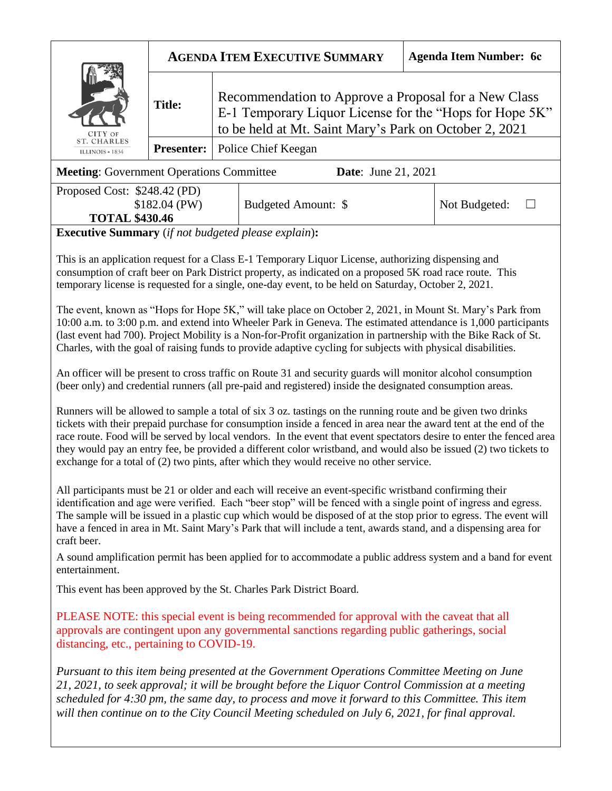| CITY OF<br><b>ST. CHARLES</b><br>ILLINOIS + 1834 | <b>AGENDA ITEM EXECUTIVE SUMMARY</b> |                                                                                                                                                                           | <b>Agenda Item Number: 6c</b> |
|--------------------------------------------------|--------------------------------------|---------------------------------------------------------------------------------------------------------------------------------------------------------------------------|-------------------------------|
|                                                  | <b>Title:</b>                        | Recommendation to Approve a Proposal for a New Class<br>E-1 Temporary Liquor License for the "Hops for Hope 5K"<br>to be held at Mt. Saint Mary's Park on October 2, 2021 |                               |
|                                                  |                                      | <b>Presenter:</b>   Police Chief Keegan                                                                                                                                   |                               |
| <b>Meeting: Government Operations Committee</b>  |                                      | <b>Date:</b> June 21, 2021                                                                                                                                                |                               |

| Proposed Cost: \$248.42 (PD)<br>\$182.04 (PW)<br><b>TOTAL \$430.46</b> | Budgeted Amount: \$ | Not Budgeted: |  |
|------------------------------------------------------------------------|---------------------|---------------|--|
|------------------------------------------------------------------------|---------------------|---------------|--|

**Executive Summary** (*if not budgeted please explain*)**:**

This is an application request for a Class E-1 Temporary Liquor License, authorizing dispensing and consumption of craft beer on Park District property, as indicated on a proposed 5K road race route. This temporary license is requested for a single, one-day event, to be held on Saturday, October 2, 2021.

The event, known as "Hops for Hope 5K," will take place on October 2, 2021, in Mount St. Mary's Park from 10:00 a.m. to 3:00 p.m. and extend into Wheeler Park in Geneva. The estimated attendance is 1,000 participants (last event had 700). Project Mobility is a Non-for-Profit organization in partnership with the Bike Rack of St. Charles, with the goal of raising funds to provide adaptive cycling for subjects with physical disabilities.

An officer will be present to cross traffic on Route 31 and security guards will monitor alcohol consumption (beer only) and credential runners (all pre-paid and registered) inside the designated consumption areas.

Runners will be allowed to sample a total of six 3 oz. tastings on the running route and be given two drinks tickets with their prepaid purchase for consumption inside a fenced in area near the award tent at the end of the race route. Food will be served by local vendors. In the event that event spectators desire to enter the fenced area they would pay an entry fee, be provided a different color wristband, and would also be issued (2) two tickets to exchange for a total of (2) two pints, after which they would receive no other service.

All participants must be 21 or older and each will receive an event-specific wristband confirming their identification and age were verified. Each "beer stop" will be fenced with a single point of ingress and egress. The sample will be issued in a plastic cup which would be disposed of at the stop prior to egress. The event will have a fenced in area in Mt. Saint Mary's Park that will include a tent, awards stand, and a dispensing area for craft beer.

A sound amplification permit has been applied for to accommodate a public address system and a band for event entertainment.

This event has been approved by the St. Charles Park District Board.

PLEASE NOTE: this special event is being recommended for approval with the caveat that all approvals are contingent upon any governmental sanctions regarding public gatherings, social distancing, etc., pertaining to COVID-19.

*Pursuant to this item being presented at the Government Operations Committee Meeting on June 21, 2021, to seek approval; it will be brought before the Liquor Control Commission at a meeting scheduled for 4:30 pm, the same day, to process and move it forward to this Committee. This item will then continue on to the City Council Meeting scheduled on July 6, 2021, for final approval.*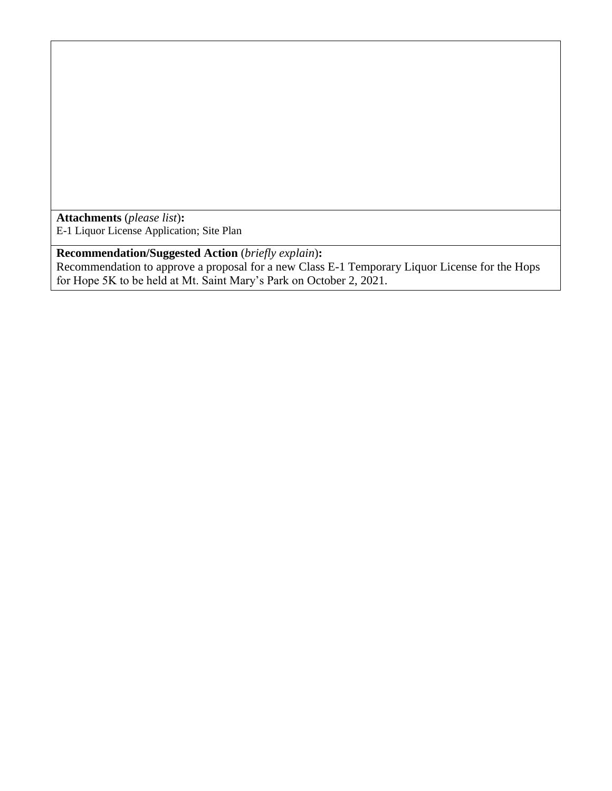**Attachments** (*please list*)**:**  E-1 Liquor License Application; Site Plan

**Recommendation/Suggested Action** (*briefly explain*)**:** Recommendation to approve a proposal for a new Class E-1 Temporary Liquor License for the Hops for Hope 5K to be held at Mt. Saint Mary's Park on October 2, 2021.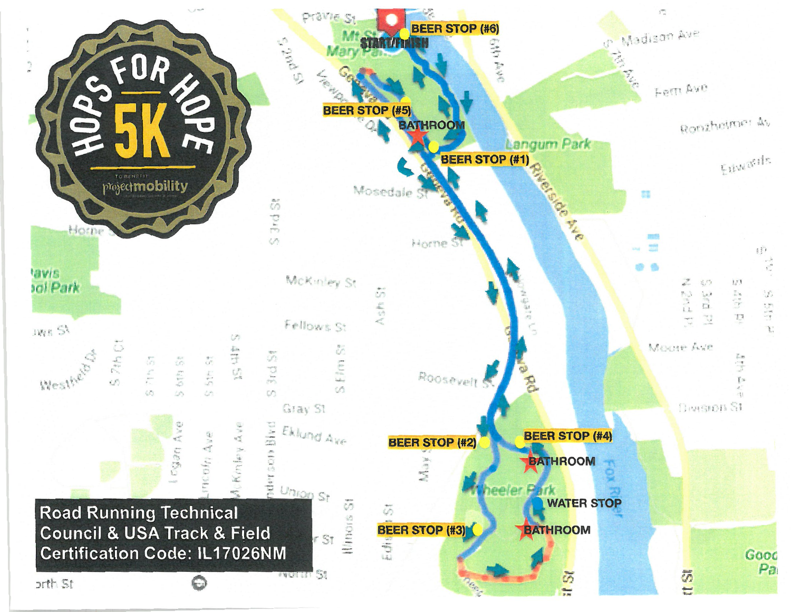